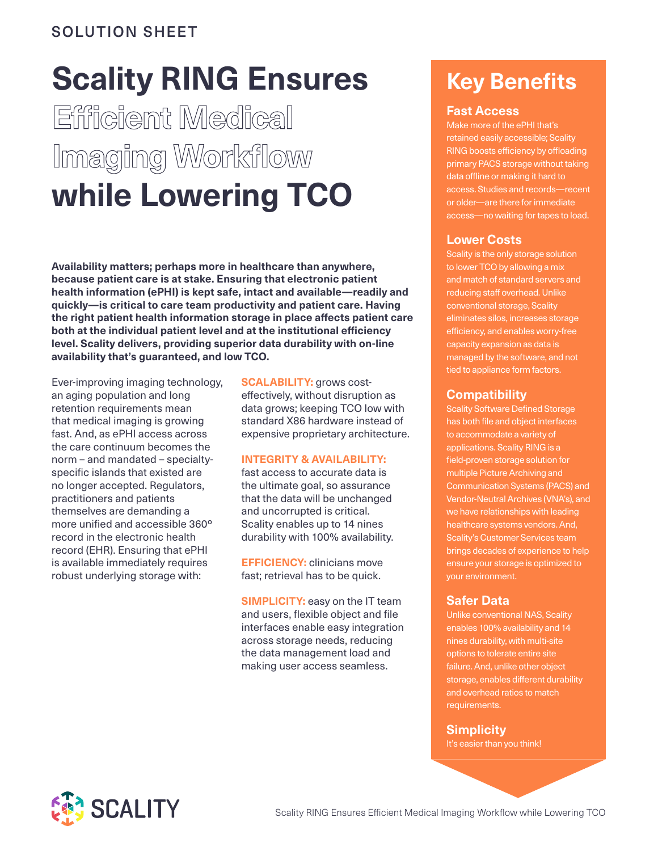### SOLUTION SHEET

# **Scality RING Ensures Efficient Medical Imaging Workflow while Lowering TCO**

**Availability matters; perhaps more in healthcare than anywhere, because patient care is at stake. Ensuring that electronic patient health information (ePHI) is kept safe, intact and available—readily and quickly—is critical to care team productivity and patient care. Having the right patient health information storage in place affects patient care both at the individual patient level and at the institutional efficiency level. Scality delivers, providing superior data durability with on-line availability that's guaranteed, and low TCO.**

Ever-improving imaging technology, an aging population and long retention requirements mean that medical imaging is growing fast. And, as ePHI access across the care continuum becomes the norm – and mandated – specialtyspecific islands that existed are no longer accepted. Regulators, practitioners and patients themselves are demanding a more unified and accessible 360º record in the electronic health record (EHR). Ensuring that ePHI is available immediately requires robust underlying storage with:

**SCALABILITY:** grows costeffectively, without disruption as data grows; keeping TCO low with standard X86 hardware instead of expensive proprietary architecture.

#### **INTEGRITY & AVAILABILITY:**

fast access to accurate data is the ultimate goal, so assurance that the data will be unchanged and uncorrupted is critical. Scality enables up to 14 nines durability with 100% availability.

**EFFICIENCY:** clinicians move fast; retrieval has to be quick.

**SIMPLICITY:** easy on the IT team and users, flexible object and file interfaces enable easy integration across storage needs, reducing the data management load and making user access seamless.

## **Key Benefits**

#### **Fast Access**

Make more of the ePHI that's retained easily accessible; Scality RING boosts efficiency by offloading primary PACS storage without taking data offline or making it hard to access. Studies and records—recent or older—are there for immediate access—no waiting for tapes to load.

#### **Lower Costs**

Scality is the only storage solution to lower TCO by allowing a mix and match of standard servers and reducing staff overhead. Unlike conventional storage, Scality eliminates silos, increases storage efficiency, and enables worry-free capacity expansion as data is managed by the software, and not tied to appliance form factors.

#### **Compatibility**

Scality Software Defined Storage has both file and object interfaces to accommodate a variety of applications. Scality RING is a field-proven storage solution for multiple Picture Archiving and Communication Systems (PACS) and Vendor-Neutral Archives (VNA's), and we have relationships with leading healthcare systems vendors. And, Scality's Customer Services team brings decades of experience to help ensure your storage is optimized to your environment.

#### **Safer Data**

Unlike conventional NAS, Scality enables 100% availability and 14 nines durability, with multi-site options to tolerate entire site failure. And, unlike other object storage, enables different durability and overhead ratios to match requirements.

#### **Simplicity**

It's easier than you think!